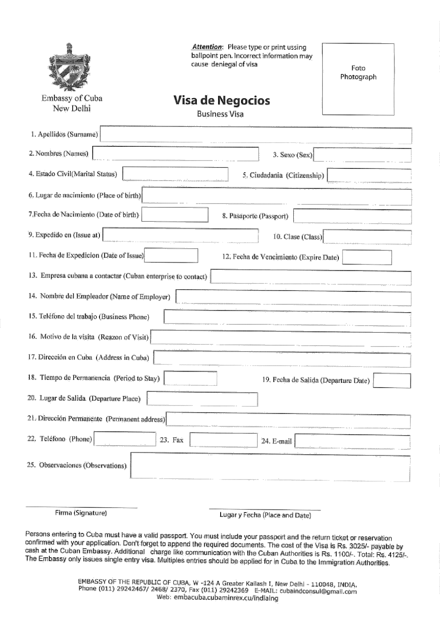|                                                              | Attention: Please type or print ussing<br>ballpoint pen. Incorrect information may<br>cause deniegal of visa |                         |                                        | Foto<br>Photograph |
|--------------------------------------------------------------|--------------------------------------------------------------------------------------------------------------|-------------------------|----------------------------------------|--------------------|
| Embassy of Cuba<br>New Delhi                                 | Visa de Negocios<br><b>Business Visa</b>                                                                     |                         |                                        |                    |
| 1. Apellidos (Surname)                                       |                                                                                                              |                         |                                        |                    |
| 2. Nombres (Names)                                           |                                                                                                              |                         | 3. Sexo (Sex)                          |                    |
| 4. Estado Civil(Marital Status)                              |                                                                                                              |                         | 5. Ciudadania (Citizenship)            |                    |
| 6. Lugar de nacimiento (Place of birth)                      |                                                                                                              |                         |                                        |                    |
| 7. Fecha de Nacimiento (Date of birth)                       |                                                                                                              | 8. Pasaporte (Passport) |                                        |                    |
| 9. Expedido en (Issue at)                                    |                                                                                                              |                         | 10. Clase (Class)                      |                    |
| 11. Fecha de Expedicion (Date of Issue)                      |                                                                                                              |                         | 12. Fecha de Vencimiento (Expire Date) |                    |
| 13. Empresa cubana a contactar (Cuban enterprise to contact) |                                                                                                              |                         |                                        |                    |
| 14. Nombre del Empleador (Name of Employer)                  |                                                                                                              |                         |                                        |                    |
| 15. Teléfono del trabajo (Business Phone)                    |                                                                                                              |                         |                                        |                    |
| 16. Motivo de la visita (Reazon of Visit).                   |                                                                                                              |                         |                                        |                    |
| 17. Dirección en Cuba (Address in Cuba)                      |                                                                                                              |                         |                                        |                    |
| 18. Tiempo de Permanencia (Period to Stay)                   |                                                                                                              |                         | 19. Fecha de Salida (Departure Date)   |                    |
| 20. Lugar de Salida (Departure Place)                        |                                                                                                              |                         |                                        |                    |
| 21. Dirección Permanente (Permanent address)                 |                                                                                                              |                         |                                        |                    |
| 22. Teléfono (Phone)                                         | 23. Fax                                                                                                      |                         | 24. E-mail                             |                    |
| 25. Observaciones (Observations).                            |                                                                                                              |                         |                                        |                    |
|                                                              |                                                                                                              |                         |                                        |                    |
| Firma (Signature)                                            |                                                                                                              |                         | Lugar y Fecha (Place and Date)         |                    |

Persons entering to Cuba must have a valid passport. You must include your passport and the return ticket or reservation confirmed with your application. Don't forget to append the required documents. The cost of the Visa is Rs. 3025/- payable by cash at the Cuban Embassy. Additional charge like communication with the Cuban Authorities is Rs. 1100/-. Total: Rs. 4125/-. The Embassy only issues single entry visa. Multiples entries should be applied for in Cuba to the Immigration Authorities.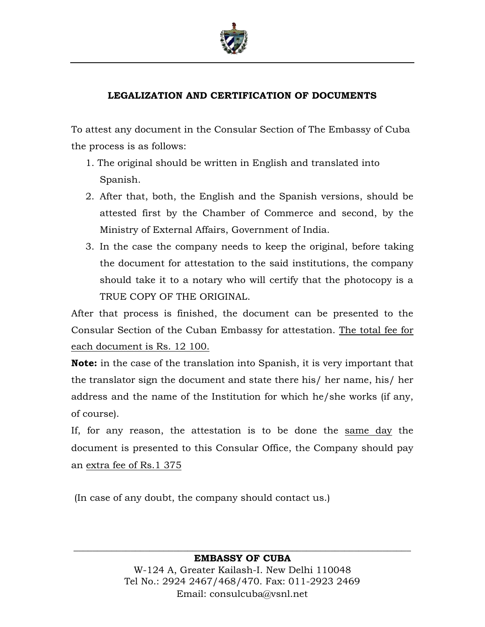

## **LEGALIZATION AND CERTIFICATION OF DOCUMENTS**

To attest any document in the Consular Section of The Embassy of Cuba the process is as follows:

- 1. The original should be written in English and translated into Spanish.
- 2. After that, both, the English and the Spanish versions, should be attested first by the Chamber of Commerce and second, by the Ministry of External Affairs, Government of India.
- 3. In the case the company needs to keep the original, before taking the document for attestation to the said institutions, the company should take it to a notary who will certify that the photocopy is a TRUE COPY OF THE ORIGINAL.

After that process is finished, the document can be presented to the Consular Section of the Cuban Embassy for attestation. The total fee for each document is Rs. 12 100.

**Note:** in the case of the translation into Spanish, it is very important that the translator sign the document and state there his/ her name, his/ her address and the name of the Institution for which he/she works (if any, of course).

If, for any reason, the attestation is to be done the same day the document is presented to this Consular Office, the Company should pay an extra fee of Rs.1 375

(In case of any doubt, the company should contact us.)

## **EMBASSY OF CUBA** W-124 A, Greater Kailash-I. New Delhi 110048 Tel No.: 2924 2467/468/470. Fax: 011-2923 2469 Email: consulcuba@vsnl.net

**\_\_\_\_\_\_\_\_\_\_\_\_\_\_\_\_\_\_\_\_\_\_\_\_\_\_\_\_\_\_\_\_\_\_\_\_\_\_\_\_\_\_\_\_\_\_\_\_\_\_\_\_\_\_\_\_\_\_\_\_\_\_\_\_\_\_\_\_\_\_\_**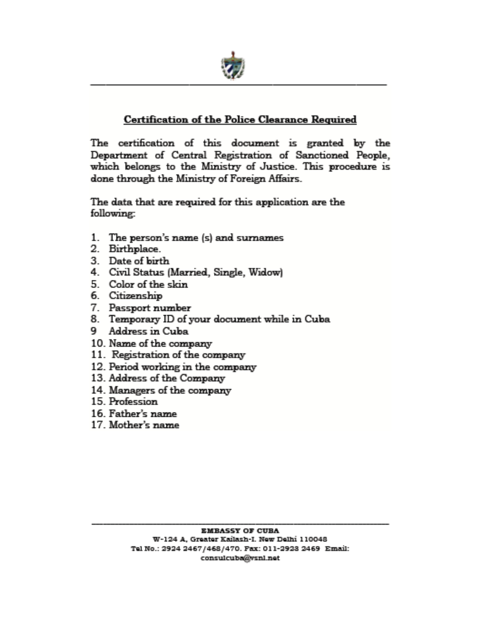

## **Certification of the Police Clearance Required**

The certification of this document is granted by the Department of Central Registration of Sanctioned People, which belongs to the Ministry of Justice. This procedure is done through the Ministry of Foreign Affairs.

The data that are required for this application are the following:

- 1. The person's name (s) and surnames
- 2. Birthplace.
- 3. Date of birth
- 4. Civil Status (Married, Single, Widow)
- 5. Color of the skin
- 6. Citizenship
- 7. Passport number
- 8. Temporary ID of your document while in Cuba
- 9 Address in Cuba
- 10. Name of the company
- 11. Registration of the company
- 12. Period working in the company
- 13. Address of the Company
- 14. Managers of the company
- 15. Profession
- 16. Father's name
- 17. Mother's name.